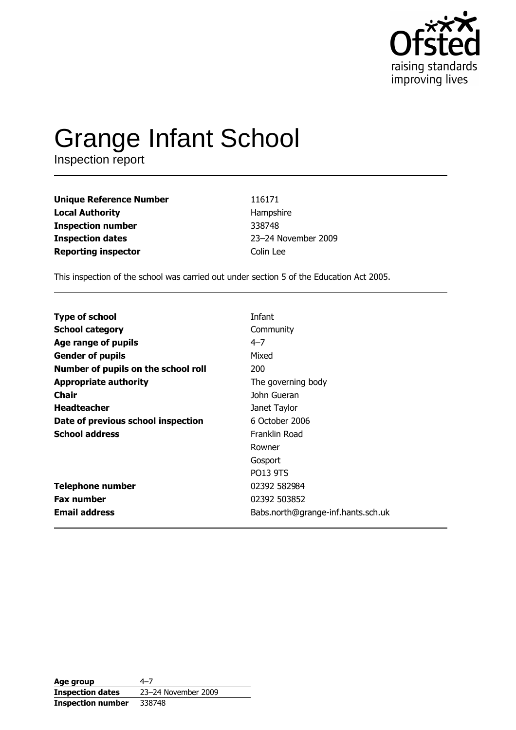

# **Grange Infant School**

Inspection report

**Unique Reference Number Local Authority Inspection number Inspection dates Reporting inspector** 

116171 Hampshire 338748 23-24 November 2009 Colin Lee

This inspection of the school was carried out under section 5 of the Education Act 2005.

| <b>Type of school</b>               | Infant                             |
|-------------------------------------|------------------------------------|
|                                     |                                    |
| <b>School category</b>              | Community                          |
| Age range of pupils                 | $4 - 7$                            |
| <b>Gender of pupils</b>             | Mixed                              |
| Number of pupils on the school roll | 200                                |
| <b>Appropriate authority</b>        | The governing body                 |
| Chair                               | John Gueran                        |
| <b>Headteacher</b>                  | Janet Taylor                       |
| Date of previous school inspection  | 6 October 2006                     |
| <b>School address</b>               | Franklin Road                      |
|                                     | Rowner                             |
|                                     | Gosport                            |
|                                     | <b>PO13 9TS</b>                    |
| <b>Telephone number</b>             | 02392 582984                       |
| <b>Fax number</b>                   | 02392 503852                       |
| <b>Email address</b>                | Babs.north@grange-inf.hants.sch.uk |

Age group  $4 - 7$ 23-24 November 2009 **Inspection dates Inspection number** 338748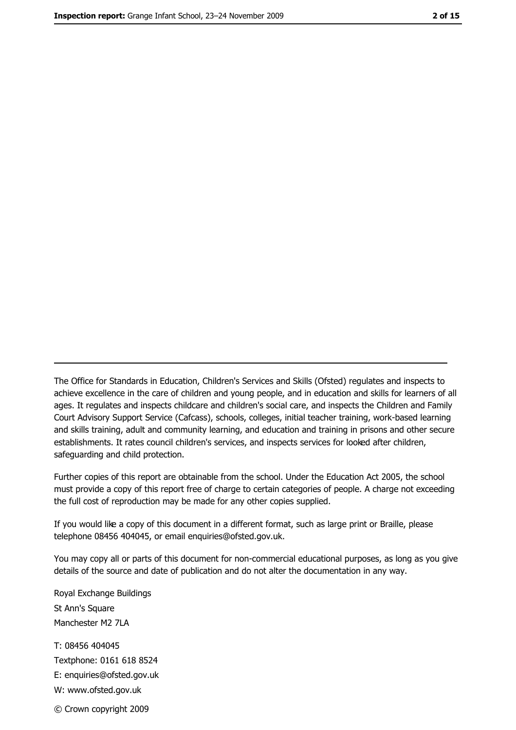The Office for Standards in Education, Children's Services and Skills (Ofsted) regulates and inspects to achieve excellence in the care of children and young people, and in education and skills for learners of all ages. It regulates and inspects childcare and children's social care, and inspects the Children and Family Court Advisory Support Service (Cafcass), schools, colleges, initial teacher training, work-based learning and skills training, adult and community learning, and education and training in prisons and other secure establishments. It rates council children's services, and inspects services for looked after children, safequarding and child protection.

Further copies of this report are obtainable from the school. Under the Education Act 2005, the school must provide a copy of this report free of charge to certain categories of people. A charge not exceeding the full cost of reproduction may be made for any other copies supplied.

If you would like a copy of this document in a different format, such as large print or Braille, please telephone 08456 404045, or email enquiries@ofsted.gov.uk.

You may copy all or parts of this document for non-commercial educational purposes, as long as you give details of the source and date of publication and do not alter the documentation in any way.

Royal Exchange Buildings St Ann's Square Manchester M2 7LA T: 08456 404045 Textphone: 0161 618 8524 E: enquiries@ofsted.gov.uk W: www.ofsted.gov.uk © Crown copyright 2009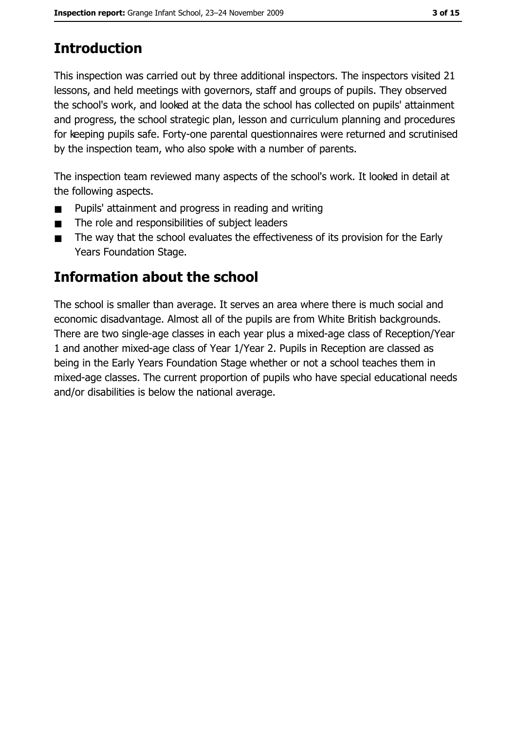# **Introduction**

This inspection was carried out by three additional inspectors. The inspectors visited 21 lessons, and held meetings with governors, staff and groups of pupils. They observed the school's work, and looked at the data the school has collected on pupils' attainment and progress, the school strategic plan, lesson and curriculum planning and procedures for keeping pupils safe. Forty-one parental questionnaires were returned and scrutinised by the inspection team, who also spoke with a number of parents.

The inspection team reviewed many aspects of the school's work. It looked in detail at the following aspects.

- Pupils' attainment and progress in reading and writing  $\blacksquare$
- The role and responsibilities of subject leaders  $\blacksquare$
- The way that the school evaluates the effectiveness of its provision for the Early  $\blacksquare$ Years Foundation Stage.

## Information about the school

The school is smaller than average. It serves an area where there is much social and economic disadvantage. Almost all of the pupils are from White British backgrounds. There are two single-age classes in each year plus a mixed-age class of Reception/Year 1 and another mixed-age class of Year 1/Year 2. Pupils in Reception are classed as being in the Early Years Foundation Stage whether or not a school teaches them in mixed-age classes. The current proportion of pupils who have special educational needs and/or disabilities is below the national average.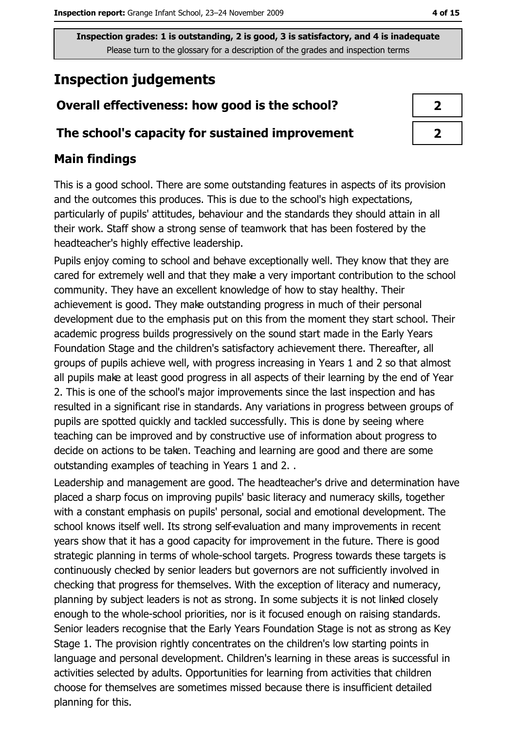# **Inspection judgements**

## Overall effectiveness: how good is the school?

#### The school's capacity for sustained improvement

## **Main findings**

This is a good school. There are some outstanding features in aspects of its provision and the outcomes this produces. This is due to the school's high expectations, particularly of pupils' attitudes, behaviour and the standards they should attain in all their work. Staff show a strong sense of teamwork that has been fostered by the headteacher's highly effective leadership.

Pupils enjoy coming to school and behave exceptionally well. They know that they are cared for extremely well and that they make a very important contribution to the school community. They have an excellent knowledge of how to stay healthy. Their achievement is good. They make outstanding progress in much of their personal development due to the emphasis put on this from the moment they start school. Their academic progress builds progressively on the sound start made in the Early Years Foundation Stage and the children's satisfactory achievement there. Thereafter, all groups of pupils achieve well, with progress increasing in Years 1 and 2 so that almost all pupils make at least good progress in all aspects of their learning by the end of Year 2. This is one of the school's major improvements since the last inspection and has resulted in a significant rise in standards. Any variations in progress between groups of pupils are spotted quickly and tackled successfully. This is done by seeing where teaching can be improved and by constructive use of information about progress to decide on actions to be taken. Teaching and learning are good and there are some outstanding examples of teaching in Years 1 and 2..

Leadership and management are good. The headteacher's drive and determination have placed a sharp focus on improving pupils' basic literacy and numeracy skills, together with a constant emphasis on pupils' personal, social and emotional development. The school knows itself well. Its strong self-evaluation and many improvements in recent years show that it has a good capacity for improvement in the future. There is good strategic planning in terms of whole-school targets. Progress towards these targets is continuously checked by senior leaders but governors are not sufficiently involved in checking that progress for themselves. With the exception of literacy and numeracy, planning by subject leaders is not as strong. In some subjects it is not linked closely enough to the whole-school priorities, nor is it focused enough on raising standards. Senior leaders recognise that the Early Years Foundation Stage is not as strong as Key Stage 1. The provision rightly concentrates on the children's low starting points in language and personal development. Children's learning in these areas is successful in activities selected by adults. Opportunities for learning from activities that children choose for themselves are sometimes missed because there is insufficient detailed planning for this.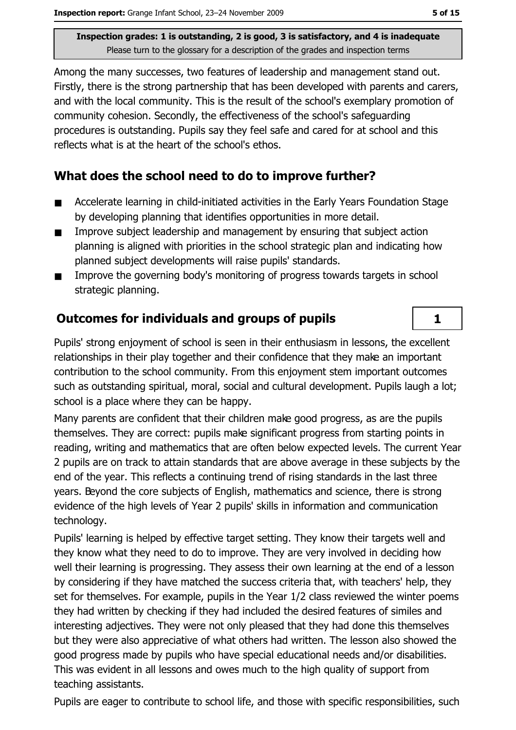Among the many successes, two features of leadership and management stand out. Firstly, there is the strong partnership that has been developed with parents and carers, and with the local community. This is the result of the school's exemplary promotion of community cohesion. Secondly, the effectiveness of the school's safeguarding procedures is outstanding. Pupils say they feel safe and cared for at school and this reflects what is at the heart of the school's ethos.

## What does the school need to do to improve further?

- $\blacksquare$ Accelerate learning in child-initiated activities in the Early Years Foundation Stage by developing planning that identifies opportunities in more detail.
- $\blacksquare$ Improve subject leadership and management by ensuring that subject action planning is aligned with priorities in the school strategic plan and indicating how planned subject developments will raise pupils' standards.
- Improve the governing body's monitoring of progress towards targets in school  $\blacksquare$ strategic planning.

## **Outcomes for individuals and groups of pupils**

Pupils' strong enjoyment of school is seen in their enthusiasm in lessons, the excellent relationships in their play together and their confidence that they make an important contribution to the school community. From this enjoyment stem important outcomes such as outstanding spiritual, moral, social and cultural development. Pupils laugh a lot; school is a place where they can be happy.

Many parents are confident that their children make good progress, as are the pupils themselves. They are correct: pupils make significant progress from starting points in reading, writing and mathematics that are often below expected levels. The current Year 2 pupils are on track to attain standards that are above average in these subjects by the end of the year. This reflects a continuing trend of rising standards in the last three years. Beyond the core subjects of English, mathematics and science, there is strong evidence of the high levels of Year 2 pupils' skills in information and communication technology.

Pupils' learning is helped by effective target setting. They know their targets well and they know what they need to do to improve. They are very involved in deciding how well their learning is progressing. They assess their own learning at the end of a lesson by considering if they have matched the success criteria that, with teachers' help, they set for themselves. For example, pupils in the Year 1/2 class reviewed the winter poems they had written by checking if they had included the desired features of similes and interesting adjectives. They were not only pleased that they had done this themselves but they were also appreciative of what others had written. The lesson also showed the good progress made by pupils who have special educational needs and/or disabilities. This was evident in all lessons and owes much to the high quality of support from teaching assistants.

Pupils are eager to contribute to school life, and those with specific responsibilities, such

 $\mathbf{1}$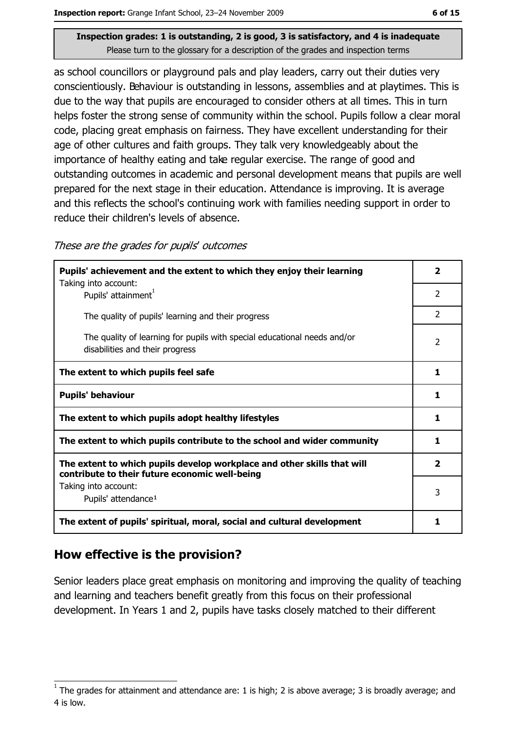as school councillors or playground pals and play leaders, carry out their duties very conscientiously. Behaviour is outstanding in lessons, assemblies and at playtimes. This is due to the way that pupils are encouraged to consider others at all times. This in turn helps foster the strong sense of community within the school. Pupils follow a clear moral code, placing great emphasis on fairness. They have excellent understanding for their age of other cultures and faith groups. They talk very knowledgeably about the importance of healthy eating and take regular exercise. The range of good and outstanding outcomes in academic and personal development means that pupils are well prepared for the next stage in their education. Attendance is improving. It is average and this reflects the school's continuing work with families needing support in order to reduce their children's levels of absence.

#### These are the grades for pupils' outcomes

| Pupils' achievement and the extent to which they enjoy their learning                                                     |                |
|---------------------------------------------------------------------------------------------------------------------------|----------------|
| Taking into account:<br>Pupils' attainment <sup>1</sup>                                                                   | 2              |
| The quality of pupils' learning and their progress                                                                        | $\overline{2}$ |
| The quality of learning for pupils with special educational needs and/or<br>disabilities and their progress               | $\overline{2}$ |
| The extent to which pupils feel safe                                                                                      |                |
| <b>Pupils' behaviour</b>                                                                                                  |                |
| The extent to which pupils adopt healthy lifestyles                                                                       |                |
| The extent to which pupils contribute to the school and wider community                                                   |                |
| The extent to which pupils develop workplace and other skills that will<br>contribute to their future economic well-being |                |
| Taking into account:<br>Pupils' attendance <sup>1</sup>                                                                   | 3              |
| The extent of pupils' spiritual, moral, social and cultural development                                                   |                |

#### How effective is the provision?

Senior leaders place great emphasis on monitoring and improving the quality of teaching and learning and teachers benefit greatly from this focus on their professional development. In Years 1 and 2, pupils have tasks closely matched to their different

The grades for attainment and attendance are: 1 is high; 2 is above average; 3 is broadly average; and 4 is low.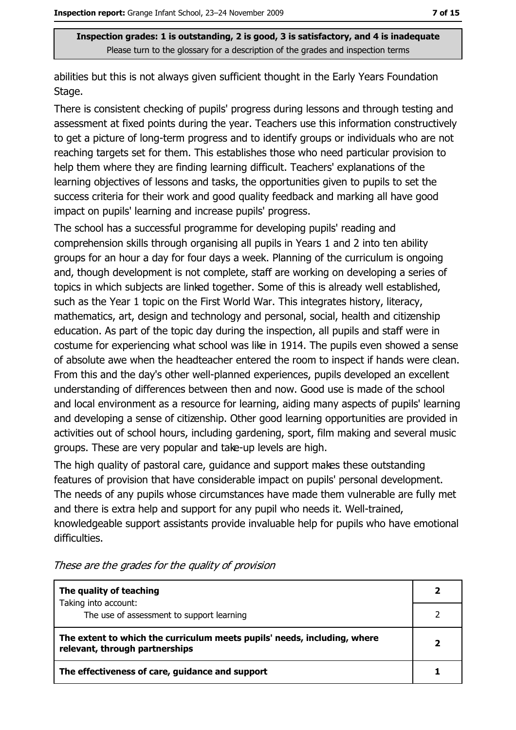abilities but this is not always given sufficient thought in the Early Years Foundation Stage.

There is consistent checking of pupils' progress during lessons and through testing and assessment at fixed points during the year. Teachers use this information constructively to get a picture of long-term progress and to identify groups or individuals who are not reaching targets set for them. This establishes those who need particular provision to help them where they are finding learning difficult. Teachers' explanations of the learning objectives of lessons and tasks, the opportunities given to pupils to set the success criteria for their work and good quality feedback and marking all have good impact on pupils' learning and increase pupils' progress.

The school has a successful programme for developing pupils' reading and comprehension skills through organising all pupils in Years 1 and 2 into ten ability groups for an hour a day for four days a week. Planning of the curriculum is ongoing and, though development is not complete, staff are working on developing a series of topics in which subjects are linked together. Some of this is already well established, such as the Year 1 topic on the First World War. This integrates history, literacy, mathematics, art, design and technology and personal, social, health and citizenship education. As part of the topic day during the inspection, all pupils and staff were in costume for experiencing what school was like in 1914. The pupils even showed a sense of absolute awe when the headteacher entered the room to inspect if hands were clean. From this and the day's other well-planned experiences, pupils developed an excellent understanding of differences between then and now. Good use is made of the school and local environment as a resource for learning, aiding many aspects of pupils' learning and developing a sense of citizenship. Other good learning opportunities are provided in activities out of school hours, including gardening, sport, film making and several music groups. These are very popular and take-up levels are high.

The high quality of pastoral care, guidance and support makes these outstanding features of provision that have considerable impact on pupils' personal development. The needs of any pupils whose circumstances have made them vulnerable are fully met and there is extra help and support for any pupil who needs it. Well-trained, knowledgeable support assistants provide invaluable help for pupils who have emotional difficulties.

| The quality of teaching                                                                                    |  |
|------------------------------------------------------------------------------------------------------------|--|
| Taking into account:<br>The use of assessment to support learning                                          |  |
| The extent to which the curriculum meets pupils' needs, including, where<br>relevant, through partnerships |  |
| The effectiveness of care, guidance and support                                                            |  |

These are the grades for the quality of provision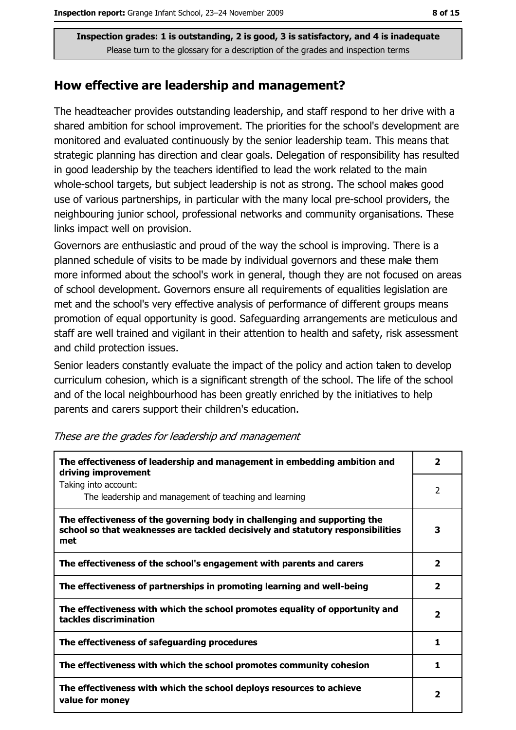#### How effective are leadership and management?

The headteacher provides outstanding leadership, and staff respond to her drive with a shared ambition for school improvement. The priorities for the school's development are monitored and evaluated continuously by the senior leadership team. This means that strategic planning has direction and clear goals. Delegation of responsibility has resulted in good leadership by the teachers identified to lead the work related to the main whole-school targets, but subject leadership is not as strong. The school makes good use of various partnerships, in particular with the many local pre-school providers, the neighbouring junior school, professional networks and community organisations. These links impact well on provision.

Governors are enthusiastic and proud of the way the school is improving. There is a planned schedule of visits to be made by individual governors and these make them more informed about the school's work in general, though they are not focused on areas of school development. Governors ensure all requirements of equalities legislation are met and the school's very effective analysis of performance of different groups means promotion of equal opportunity is good. Safeguarding arrangements are meticulous and staff are well trained and vigilant in their attention to health and safety, risk assessment and child protection issues.

Senior leaders constantly evaluate the impact of the policy and action taken to develop curriculum cohesion, which is a significant strength of the school. The life of the school and of the local neighbourhood has been greatly enriched by the initiatives to help parents and carers support their children's education.

| The effectiveness of leadership and management in embedding ambition and<br>driving improvement                                                                     |                         |
|---------------------------------------------------------------------------------------------------------------------------------------------------------------------|-------------------------|
| Taking into account:<br>The leadership and management of teaching and learning                                                                                      | $\overline{2}$          |
| The effectiveness of the governing body in challenging and supporting the<br>school so that weaknesses are tackled decisively and statutory responsibilities<br>met | 3                       |
| The effectiveness of the school's engagement with parents and carers                                                                                                | $\overline{\mathbf{2}}$ |
| The effectiveness of partnerships in promoting learning and well-being                                                                                              | $\overline{\mathbf{2}}$ |
| The effectiveness with which the school promotes equality of opportunity and<br>tackles discrimination                                                              |                         |
| The effectiveness of safeguarding procedures                                                                                                                        | 1                       |
| The effectiveness with which the school promotes community cohesion                                                                                                 | 1                       |
| The effectiveness with which the school deploys resources to achieve<br>value for money                                                                             |                         |

These are the grades for leadership and management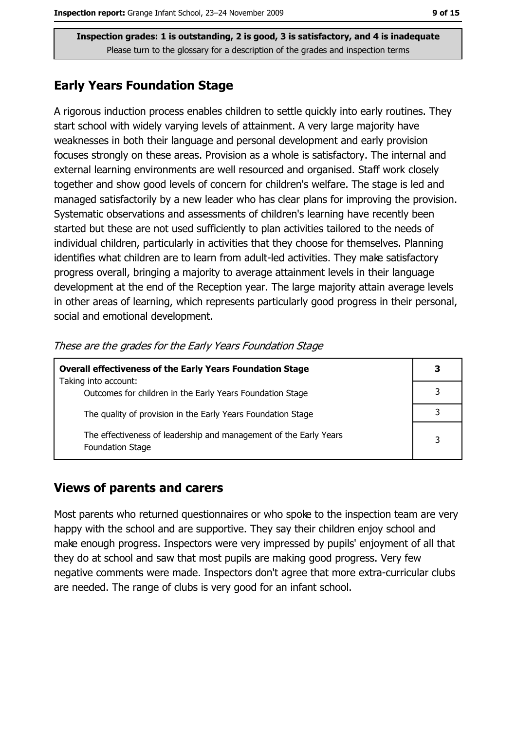### **Early Years Foundation Stage**

A rigorous induction process enables children to settle quickly into early routines. They start school with widely varying levels of attainment. A very large majority have weaknesses in both their language and personal development and early provision focuses strongly on these areas. Provision as a whole is satisfactory. The internal and external learning environments are well resourced and organised. Staff work closely together and show good levels of concern for children's welfare. The stage is led and managed satisfactorily by a new leader who has clear plans for improving the provision. Systematic observations and assessments of children's learning have recently been started but these are not used sufficiently to plan activities tailored to the needs of individual children, particularly in activities that they choose for themselves. Planning identifies what children are to learn from adult-led activities. They make satisfactory progress overall, bringing a majority to average attainment levels in their language development at the end of the Reception year. The large majority attain average levels in other areas of learning, which represents particularly good progress in their personal, social and emotional development.

| <b>Overall effectiveness of the Early Years Foundation Stage</b>                             |   |  |
|----------------------------------------------------------------------------------------------|---|--|
| Taking into account:<br>Outcomes for children in the Early Years Foundation Stage            |   |  |
| The quality of provision in the Early Years Foundation Stage                                 |   |  |
| The effectiveness of leadership and management of the Early Years<br><b>Foundation Stage</b> | 3 |  |

These are the grades for the Early Years Foundation Stage

## **Views of parents and carers**

Most parents who returned questionnaires or who spoke to the inspection team are very happy with the school and are supportive. They say their children enjoy school and make enough progress. Inspectors were very impressed by pupils' enjoyment of all that they do at school and saw that most pupils are making good progress. Very few negative comments were made. Inspectors don't agree that more extra-curricular clubs are needed. The range of clubs is very good for an infant school.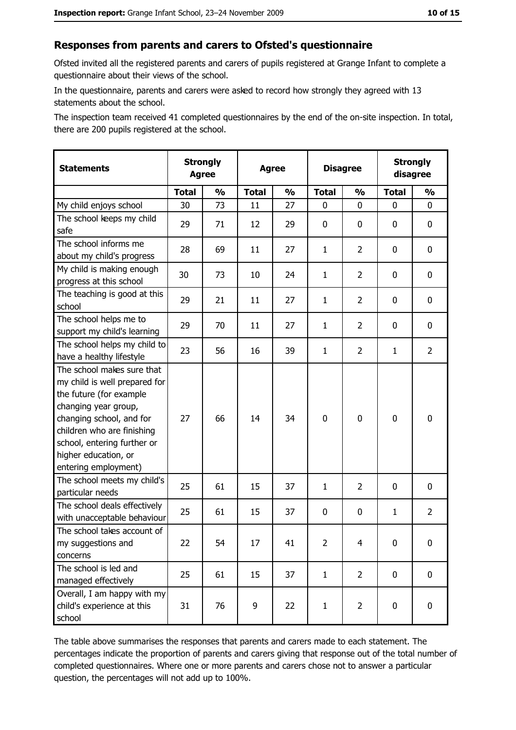#### Responses from parents and carers to Ofsted's questionnaire

Ofsted invited all the registered parents and carers of pupils registered at Grange Infant to complete a questionnaire about their views of the school.

In the questionnaire, parents and carers were asked to record how strongly they agreed with 13 statements about the school.

The inspection team received 41 completed questionnaires by the end of the on-site inspection. In total, there are 200 pupils registered at the school.

| <b>Statements</b>                                                                                                                                                                                                                                       | <b>Strongly</b><br><b>Agree</b> |               | <b>Agree</b> |               | <b>Disagree</b> |                | <b>Strongly</b><br>disagree |                |
|---------------------------------------------------------------------------------------------------------------------------------------------------------------------------------------------------------------------------------------------------------|---------------------------------|---------------|--------------|---------------|-----------------|----------------|-----------------------------|----------------|
|                                                                                                                                                                                                                                                         | <b>Total</b>                    | $\frac{1}{2}$ | <b>Total</b> | $\frac{1}{2}$ | <b>Total</b>    | $\frac{0}{0}$  | <b>Total</b>                | $\frac{1}{2}$  |
| My child enjoys school                                                                                                                                                                                                                                  | 30                              | 73            | 11           | 27            | 0               | 0              | $\Omega$                    | 0              |
| The school keeps my child<br>safe                                                                                                                                                                                                                       | 29                              | 71            | 12           | 29            | 0               | 0              | 0                           | $\mathbf 0$    |
| The school informs me<br>about my child's progress                                                                                                                                                                                                      | 28                              | 69            | 11           | 27            | $\mathbf{1}$    | $\overline{2}$ | 0                           | $\mathbf 0$    |
| My child is making enough<br>progress at this school                                                                                                                                                                                                    | 30                              | 73            | 10           | 24            | $\mathbf{1}$    | 2              | 0                           | 0              |
| The teaching is good at this<br>school                                                                                                                                                                                                                  | 29                              | 21            | 11           | 27            | $\mathbf{1}$    | $\overline{2}$ | 0                           | 0              |
| The school helps me to<br>support my child's learning                                                                                                                                                                                                   | 29                              | 70            | 11           | 27            | $\mathbf{1}$    | $\overline{2}$ | 0                           | 0              |
| The school helps my child to<br>have a healthy lifestyle                                                                                                                                                                                                | 23                              | 56            | 16           | 39            | $\mathbf{1}$    | $\overline{2}$ | 1                           | $\overline{2}$ |
| The school makes sure that<br>my child is well prepared for<br>the future (for example<br>changing year group,<br>changing school, and for<br>children who are finishing<br>school, entering further or<br>higher education, or<br>entering employment) | 27                              | 66            | 14           | 34            | $\mathbf 0$     | 0              | $\mathbf 0$                 | $\mathbf 0$    |
| The school meets my child's<br>particular needs                                                                                                                                                                                                         | 25                              | 61            | 15           | 37            | $\mathbf{1}$    | 2              | 0                           | 0              |
| The school deals effectively<br>with unacceptable behaviour                                                                                                                                                                                             | 25                              | 61            | 15           | 37            | $\mathbf 0$     | 0              | 1                           | $\overline{2}$ |
| The school takes account of<br>my suggestions and<br>concerns                                                                                                                                                                                           | 22                              | 54            | 17           | 41            | $\overline{2}$  | 4              | 0                           | 0              |
| The school is led and<br>managed effectively                                                                                                                                                                                                            | 25                              | 61            | 15           | 37            | $\mathbf{1}$    | $\overline{2}$ | $\bf{0}$                    | $\mathbf 0$    |
| Overall, I am happy with my<br>child's experience at this<br>school                                                                                                                                                                                     | 31                              | 76            | 9            | 22            | $\mathbf{1}$    | $\overline{2}$ | $\mathbf 0$                 | $\mathbf 0$    |

The table above summarises the responses that parents and carers made to each statement. The percentages indicate the proportion of parents and carers giving that response out of the total number of completed questionnaires. Where one or more parents and carers chose not to answer a particular question, the percentages will not add up to 100%.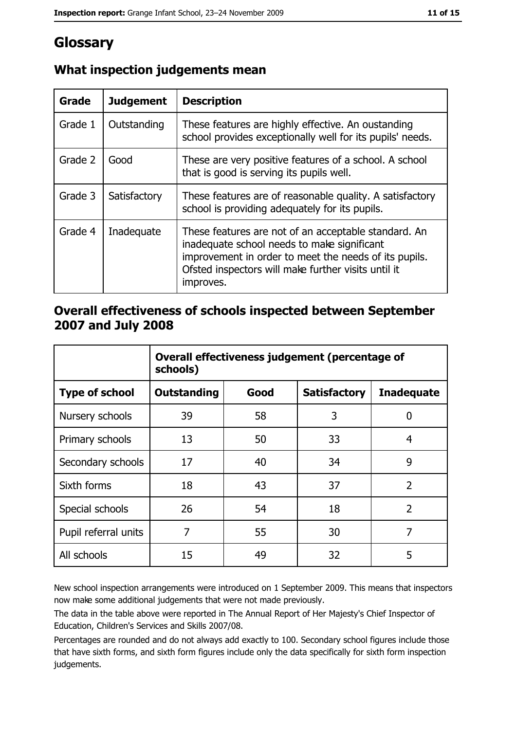# Glossary

| Grade   | <b>Judgement</b> | <b>Description</b>                                                                                                                                                                                                               |  |
|---------|------------------|----------------------------------------------------------------------------------------------------------------------------------------------------------------------------------------------------------------------------------|--|
| Grade 1 | Outstanding      | These features are highly effective. An oustanding<br>school provides exceptionally well for its pupils' needs.                                                                                                                  |  |
| Grade 2 | Good             | These are very positive features of a school. A school<br>that is good is serving its pupils well.                                                                                                                               |  |
| Grade 3 | Satisfactory     | These features are of reasonable quality. A satisfactory<br>school is providing adequately for its pupils.                                                                                                                       |  |
| Grade 4 | Inadequate       | These features are not of an acceptable standard. An<br>inadequate school needs to make significant<br>improvement in order to meet the needs of its pupils.<br>Ofsted inspectors will make further visits until it<br>improves. |  |

## What inspection judgements mean

## Overall effectiveness of schools inspected between September 2007 and July 2008

|                       | Overall effectiveness judgement (percentage of<br>schools) |      |                     |                   |
|-----------------------|------------------------------------------------------------|------|---------------------|-------------------|
| <b>Type of school</b> | <b>Outstanding</b>                                         | Good | <b>Satisfactory</b> | <b>Inadequate</b> |
| Nursery schools       | 39                                                         | 58   | 3                   | 0                 |
| Primary schools       | 13                                                         | 50   | 33                  | 4                 |
| Secondary schools     | 17                                                         | 40   | 34                  | 9                 |
| Sixth forms           | 18                                                         | 43   | 37                  | $\overline{2}$    |
| Special schools       | 26                                                         | 54   | 18                  | $\overline{2}$    |
| Pupil referral units  | 7                                                          | 55   | 30                  | 7                 |
| All schools           | 15                                                         | 49   | 32                  | 5                 |

New school inspection arrangements were introduced on 1 September 2009. This means that inspectors now make some additional judgements that were not made previously.

The data in the table above were reported in The Annual Report of Her Majesty's Chief Inspector of Education, Children's Services and Skills 2007/08.

Percentages are rounded and do not always add exactly to 100. Secondary school figures include those that have sixth forms, and sixth form figures include only the data specifically for sixth form inspection judgements.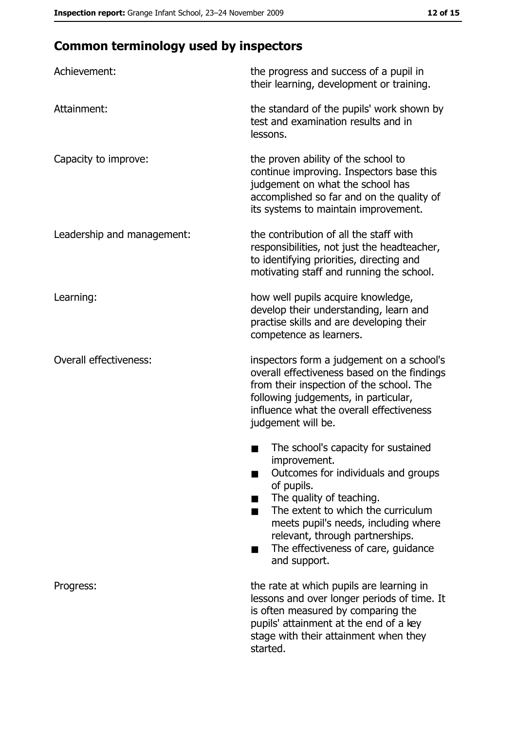# **Common terminology used by inspectors**

| Achievement:                  | the progress and success of a pupil in<br>their learning, development or training.                                                                                                                                                                                                                           |
|-------------------------------|--------------------------------------------------------------------------------------------------------------------------------------------------------------------------------------------------------------------------------------------------------------------------------------------------------------|
| Attainment:                   | the standard of the pupils' work shown by<br>test and examination results and in<br>lessons.                                                                                                                                                                                                                 |
| Capacity to improve:          | the proven ability of the school to<br>continue improving. Inspectors base this<br>judgement on what the school has<br>accomplished so far and on the quality of<br>its systems to maintain improvement.                                                                                                     |
| Leadership and management:    | the contribution of all the staff with<br>responsibilities, not just the headteacher,<br>to identifying priorities, directing and<br>motivating staff and running the school.                                                                                                                                |
| Learning:                     | how well pupils acquire knowledge,<br>develop their understanding, learn and<br>practise skills and are developing their<br>competence as learners.                                                                                                                                                          |
| <b>Overall effectiveness:</b> | inspectors form a judgement on a school's<br>overall effectiveness based on the findings<br>from their inspection of the school. The<br>following judgements, in particular,<br>influence what the overall effectiveness<br>judgement will be.                                                               |
|                               | The school's capacity for sustained<br>improvement.<br>Outcomes for individuals and groups<br>of pupils.<br>The quality of teaching.<br>The extent to which the curriculum<br>meets pupil's needs, including where<br>relevant, through partnerships.<br>The effectiveness of care, guidance<br>and support. |
| Progress:                     | the rate at which pupils are learning in<br>lessons and over longer periods of time. It<br>is often measured by comparing the<br>pupils' attainment at the end of a key<br>stage with their attainment when they<br>started.                                                                                 |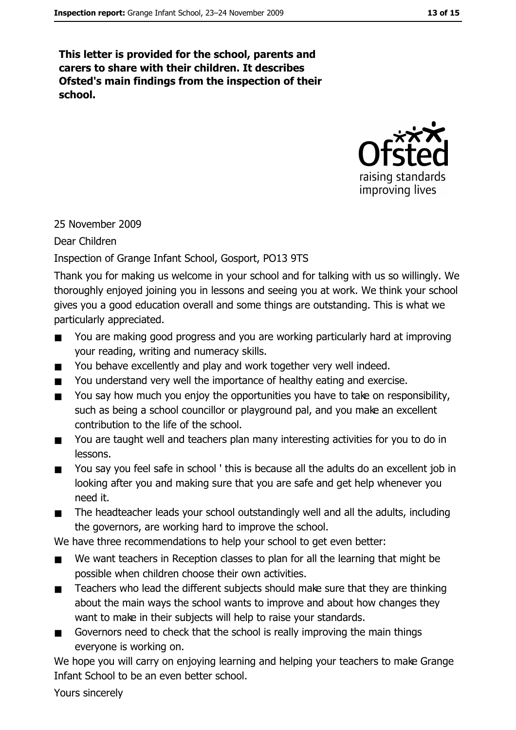This letter is provided for the school, parents and carers to share with their children. It describes Ofsted's main findings from the inspection of their school.



#### 25 November 2009

Dear Children

#### Inspection of Grange Infant School, Gosport, PO13 9TS

Thank you for making us welcome in your school and for talking with us so willingly. We thoroughly enjoyed joining you in lessons and seeing you at work. We think your school gives you a good education overall and some things are outstanding. This is what we particularly appreciated.

- You are making good progress and you are working particularly hard at improving  $\blacksquare$ your reading, writing and numeracy skills.
- You behave excellently and play and work together very well indeed.  $\blacksquare$
- You understand very well the importance of healthy eating and exercise.
- You say how much you enjoy the opportunities you have to take on responsibility,  $\blacksquare$ such as being a school councillor or playground pal, and you make an excellent contribution to the life of the school.
- You are taught well and teachers plan many interesting activities for you to do in  $\blacksquare$ lessons.
- You say you feel safe in school ' this is because all the adults do an excellent job in  $\blacksquare$ looking after you and making sure that you are safe and get help whenever you need it.
- The headteacher leads your school outstandingly well and all the adults, including  $\blacksquare$ the governors, are working hard to improve the school.

We have three recommendations to help your school to get even better:

- We want teachers in Reception classes to plan for all the learning that might be  $\blacksquare$ possible when children choose their own activities.
- Teachers who lead the different subjects should make sure that they are thinking  $\blacksquare$ about the main ways the school wants to improve and about how changes they want to make in their subjects will help to raise your standards.
- Governors need to check that the school is really improving the main things  $\blacksquare$ everyone is working on.

We hope you will carry on enjoying learning and helping your teachers to make Grange Infant School to be an even better school.

Yours sincerely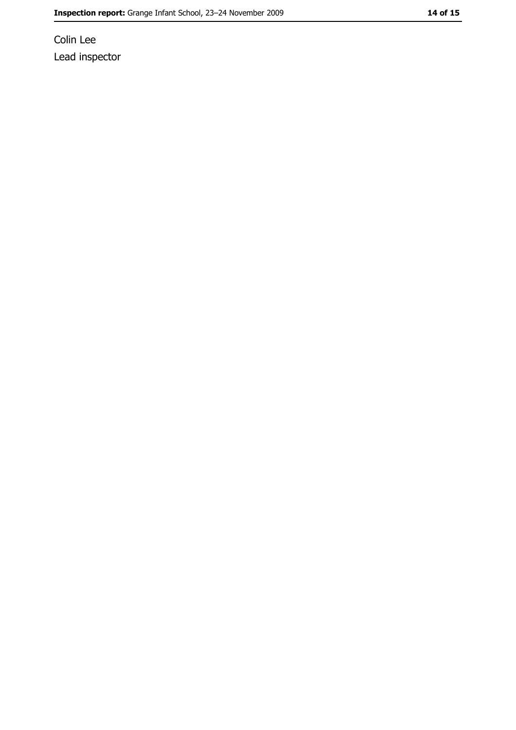Colin Lee Lead inspector